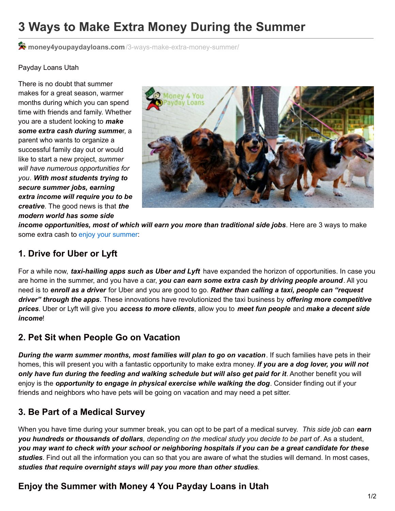# **3 Ways to Make Extra Money During the Summer**

**money4youpaydayloans.com**[/3-ways-make-extra-money-summer/](https://money4youpaydayloans.com/3-ways-make-extra-money-summer/)

#### Payday Loans Utah

There is no doubt that summer makes for a great season, warmer months during which you can spend time with friends and family. Whether you are a student looking to *make some extra cash during summe*r, a parent who wants to organize a successful family day out or would like to start a new project, *summer will have numerous opportunities for you*. *With most students trying to secure summer jobs, earning extra income will require you to be creative*. The good news is that *the modern world has some side*



*income opportunities, most of which will earn you more than traditional side jobs*. Here are 3 ways to make some extra cash to enjoy your [summer](https://money4youpaydayloans.com/10-fun-budget-friendly-things-utah-summer/):

### **1. Drive for Uber or Lyft**

For a while now, *taxi-hailing apps such as Uber and Lyft* have expanded the horizon of opportunities. In case you are home in the summer, and you have a car, *you can earn some extra cash by driving people around*. All you need is to *enroll as a driver* for Uber and you are good to go. *Rather than calling a taxi, people can "request driver" through the apps*. These innovations have revolutionized the taxi business by *offering more competitive prices*. Uber or Lyft will give you *access to more clients*, allow you to *meet fun people* and *make a decent side income*!

### **2. Pet Sit when People Go on Vacation**

*During the warm summer months, most families will plan to go on vacation*. If such families have pets in their homes, this will present you with a fantastic opportunity to make extra money. *If you are a dog lover, you will not only have fun during the feeding and walking schedule but will also get paid for it*. Another benefit you will enjoy is the *opportunity to engage in physical exercise while walking the dog*. Consider finding out if your friends and neighbors who have pets will be going on vacation and may need a pet sitter.

# **3. Be Part of a Medical Survey**

When you have time during your summer break, you can opt to be part of a medical survey. *This side job can earn* you hundreds or thousands of dollars, depending on the medical study you decide to be part of. As a student, you may want to check with your school or neighboring hospitals if you can be a great candidate for these *studies*. Find out all the information you can so that you are aware of what the studies will demand. In most cases, *studies that require overnight stays will pay you more than other studies*.

# **Enjoy the Summer with Money 4 You Payday Loans in Utah**